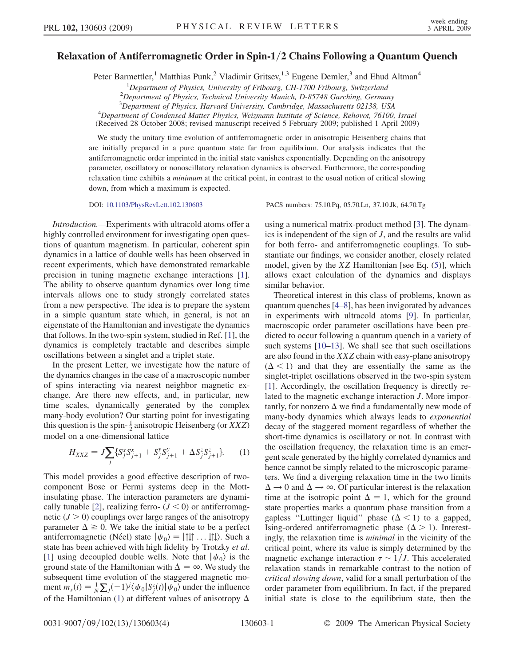## Relaxation of Antiferromagnetic Order in Spin-1/2 Chains Following a Quantum Quench

Peter Barmettler,<sup>1</sup> Matthias Punk,<sup>2</sup> Vladimir Gritsev,<sup>1,3</sup> Eugene Demler,<sup>3</sup> and Ehud Altman<sup>4</sup>

<sup>1</sup>Department of Physics, University of Fribourg, CH-1700 Fribourg, Switzerland<br><sup>2</sup>Department of Physics, Technical University Munich, D. 85748 Garching, German

 $^{2}$ Department of Physics, Technical University Munich, D-85748 Garching, Germany

<sup>3</sup> Department of Physics, Harvard University, Cambridge, Massachusetts 02138, USA<br><sup>4</sup> Department of Condensed Matter Physics, Weirmann Institute of Science, Peheyet, 76100

<sup>4</sup>Department of Condensed Matter Physics, Weizmann Institute of Science, Rehovot, 76100, Israel

(Received 28 October 2008; revised manuscript received 5 February 2009; published 1 April 2009)

We study the unitary time evolution of antiferromagnetic order in anisotropic Heisenberg chains that are initially prepared in a pure quantum state far from equilibrium. Our analysis indicates that the antiferromagnetic order imprinted in the initial state vanishes exponentially. Depending on the anisotropy parameter, oscillatory or nonoscillatory relaxation dynamics is observed. Furthermore, the corresponding relaxation time exhibits a *minimum* at the critical point, in contrast to the usual notion of critical slowing down, from which a maximum is expected.

DOI: [10.1103/PhysRevLett.102.130603](http://dx.doi.org/10.1103/PhysRevLett.102.130603) PACS numbers: 75.10.Pq, 05.70.Ln, 37.10.Jk, 64.70.Tg

Introduction.—Experiments with ultracold atoms offer a highly controlled environment for investigating open questions of quantum magnetism. In particular, coherent spin dynamics in a lattice of double wells has been observed in recent experiments, which have demonstrated remarkable precision in tuning magnetic exchange interactions [[1\]](#page-3-0). The ability to observe quantum dynamics over long time intervals allows one to study strongly correlated states from a new perspective. The idea is to prepare the system in a simple quantum state which, in general, is not an eigenstate of the Hamiltonian and investigate the dynamics that follows. In the two-spin system, studied in Ref. [[1\]](#page-3-0), the dynamics is completely tractable and describes simple oscillations between a singlet and a triplet state.

In the present Letter, we investigate how the nature of the dynamics changes in the case of a macroscopic number of spins interacting via nearest neighbor magnetic exchange. Are there new effects, and, in particular, new time scales, dynamically generated by the complex many-body evolution? Our starting point for investigating this question is the spin- $\frac{1}{2}$  anisotropic Heisenberg (or *XXZ*) model on a one-dimensional lattice

$$
H_{XXZ} = J \sum_{j} \{ S_j^x S_{j+1}^x + S_j^y S_{j+1}^y + \Delta S_j^z S_{j+1}^z \}.
$$
 (1)

This model provides a good effective description of twocomponent Bose or Fermi systems deep in the Mottinsulating phase. The interaction parameters are dynami-cally tunable [[2\]](#page-3-0), realizing ferro-  $(J < 0)$  or antiferromagnetic  $(J > 0)$  couplings over large ranges of the anisotropy parameter  $\Delta \ge 0$ . We take the initial state to be a perfect antiferromagnetic (Néel) state  $|\psi_0\rangle = |111 \dots 111\rangle$ . Such a state has been achieved with high fidelity by Trotzky et al. [\[1\]](#page-3-0) using decoupled double wells. Note that  $|\psi_0\rangle$  is the ground state of the Hamiltonian with  $\Delta = \infty$ . We study the subsequent time evolution of the staggered magnetic moment  $m_s(t) = \frac{1}{N} \sum_j (-1)^j \langle \psi_0 | S_j^z(t) | \psi_0 \rangle$  under the influence of the Hamiltonian ([1](#page-0-0)) at different values of anisotropy  $\Delta$  using a numerical matrix-product method [\[3](#page-3-0)]. The dynamics is independent of the sign of J, and the results are valid for both ferro- and antiferromagnetic couplings. To substantiate our findings, we consider another, closely related model, given by the  $XZ$  Hamiltonian [see Eq.  $(5)$ ], which allows exact calculation of the dynamics and displays similar behavior.

Theoretical interest in this class of problems, known as quantum quenches [\[4](#page-3-0)–[8\]](#page-3-0), has been invigorated by advances in experiments with ultracold atoms [\[9\]](#page-3-0). In particular, macroscopic order parameter oscillations have been predicted to occur following a quantum quench in a variety of such systems [[10–13\]](#page-3-0). We shall see that such oscillations are also found in the XXZ chain with easy-plane anisotropy  $(\Delta < 1)$  and that they are essentially the same as the singlet-triplet oscillations observed in the two-spin system [\[1\]](#page-3-0). Accordingly, the oscillation frequency is directly related to the magnetic exchange interaction J. More importantly, for nonzero  $\Delta$  we find a fundamentally new mode of many-body dynamics which always leads to exponential decay of the staggered moment regardless of whether the short-time dynamics is oscillatory or not. In contrast with the oscillation frequency, the relaxation time is an emergent scale generated by the highly correlated dynamics and hence cannot be simply related to the microscopic parameters. We find a diverging relaxation time in the two limits  $\Delta \rightarrow 0$  and  $\Delta \rightarrow \infty$ . Of particular interest is the relaxation time at the isotropic point  $\Delta = 1$ , which for the ground state properties marks a quantum phase transition from a gapless "Luttinger liquid" phase  $(\Delta < 1)$  to a gapped, Ising-ordered antiferromagnetic phase  $(\Delta > 1)$ . Interestingly, the relaxation time is *minimal* in the vicinity of the critical point, where its value is simply determined by the magnetic exchange interaction  $\tau \sim 1/J$ . This accelerated relaxation stands in remarkable contrast to the notion of critical slowing down, valid for a small perturbation of the order parameter from equilibrium. In fact, if the prepared initial state is close to the equilibrium state, then the

<span id="page-0-0"></span>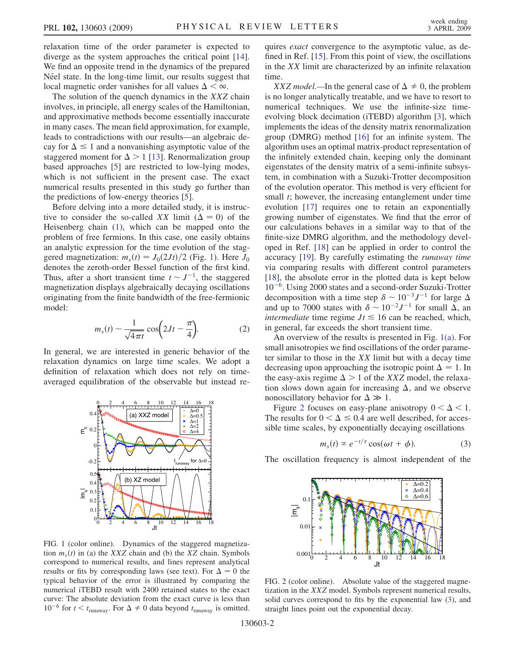relaxation time of the order parameter is expected to diverge as the system approaches the critical point [\[14\]](#page-3-0). We find an opposite trend in the dynamics of the prepared Néel state. In the long-time limit, our results suggest that local magnetic order vanishes for all values  $\Delta < \infty$ .

The solution of the quench dynamics in the XXZ chain involves, in principle, all energy scales of the Hamiltonian, and approximative methods become essentially inaccurate in many cases. The mean field approximation, for example, leads to contradictions with our results—an algebraic decay for  $\Delta \leq 1$  and a nonvanishing asymptotic value of the staggered moment for  $\Delta > 1$  [\[13\]](#page-3-0). Renormalization group based approaches [\[5\]](#page-3-0) are restricted to low-lying modes, which is not sufficient in the present case. The exact numerical results presented in this study go further than the predictions of low-energy theories [\[5\]](#page-3-0).

Before delving into a more detailed study, it is instructive to consider the so-called XX limit ( $\Delta = 0$ ) of the Heisenberg chain [\(1](#page-0-0)), which can be mapped onto the problem of free fermions. In this case, one easily obtains an analytic expression for the time evolution of the staggered magnetization:  $m_s(t) = J_0(2Jt)/2$  (Fig. [1](#page-1-0)). Here  $J_0$ denotes the zeroth-order Bessel function of the first kind. Thus, after a short transient time  $t \sim J^{-1}$ , the staggered magnetization displays algebraically decaying oscillations originating from the finite bandwidth of the free-fermionic model:

$$
m_s(t) \sim \frac{1}{\sqrt{4\pi t}} \cos\left(2Jt - \frac{\pi}{4}\right).
$$
 (2)

In general, we are interested in generic behavior of the relaxation dynamics on large time scales. We adopt a definition of relaxation which does not rely on timeaveraged equilibration of the observable but instead re-



<span id="page-1-0"></span>FIG. 1 (color online). Dynamics of the staggered magnetization  $m<sub>s</sub>(t)$  in (a) the XXZ chain and (b) the XZ chain. Symbols correspond to numerical results, and lines represent analytical results or fits by corresponding laws (see text). For  $\Delta = 0$  the typical behavior of the error is illustrated by comparing the numerical iTEBD result with 2400 retained states to the exact curve: The absolute deviation from the exact curve is less than  $10^{-6}$  for  $t < t_{\text{runaway}}$ . For  $\Delta \neq 0$  data beyond  $t_{\text{runaway}}$  is omitted.

quires exact convergence to the asymptotic value, as defined in Ref. [\[15\]](#page-3-0). From this point of view, the oscillations in the XX limit are characterized by an infinite relaxation time.

XXZ model.—In the general case of  $\Delta \neq 0$ , the problem is no longer analytically treatable, and we have to resort to numerical techniques. We use the infinite-size timeevolving block decimation (iTEBD) algorithm [[3\]](#page-3-0), which implements the ideas of the density matrix renormalization group (DMRG) method [\[16\]](#page-3-0) for an infinite system. The algorithm uses an optimal matrix-product representation of the infinitely extended chain, keeping only the dominant eigenstates of the density matrix of a semi-infinite subsystem, in combination with a Suzuki-Trotter decomposition of the evolution operator. This method is very efficient for small *t*; however, the increasing entanglement under time evolution [[17\]](#page-3-0) requires one to retain an exponentially growing number of eigenstates. We find that the error of our calculations behaves in a similar way to that of the finite-size DMRG algorithm, and the methodology developed in Ref. [[18](#page-3-0)] can be applied in order to control the accuracy [[19\]](#page-3-0). By carefully estimating the runaway time via comparing results with different control parameters [\[18\]](#page-3-0), the absolute error in the plotted data is kept below  $10^{-6}$ . Using 2000 states and a second-order Suzuki-Trotter decomposition with a time step  $\delta \sim 10^{-3} J^{-1}$  for large  $\Delta$ and up to 7000 states with  $\delta \sim 10^{-2} J^{-1}$  for small  $\Delta$ , an intermediate time regime  $Jt \le 16$  can be reached, which, in general, far exceeds the short transient time.

An overview of the results is presented in Fig. [1\(a\)](#page-1-0). For small anisotropies we find oscillations of the order parameter similar to those in the  $XX$  limit but with a decay time decreasing upon approaching the isotropic point  $\Delta = 1$ . In the easy-axis regime  $\Delta > 1$  of the XXZ model, the relaxation slows down again for increasing  $\Delta$ , and we observe nonoscillatory behavior for  $\Delta \gg 1$ .

Figure [2](#page-1-0) focuses on easy-plane anisotropy  $0 < \Delta < 1$ . The results for  $0 < \Delta \le 0.4$  are well described, for accessible time scales, by exponentially decaying oscillations

$$
m_s(t) \propto e^{-t/\tau} \cos(\omega t + \phi). \tag{3}
$$

The oscillation frequency is almost independent of the



FIG. 2 (color online). Absolute value of the staggered magnetization in the XXZ model. Symbols represent numerical results, solid curves correspond to fits by the exponential law ([3](#page-1-0)), and straight lines point out the exponential decay.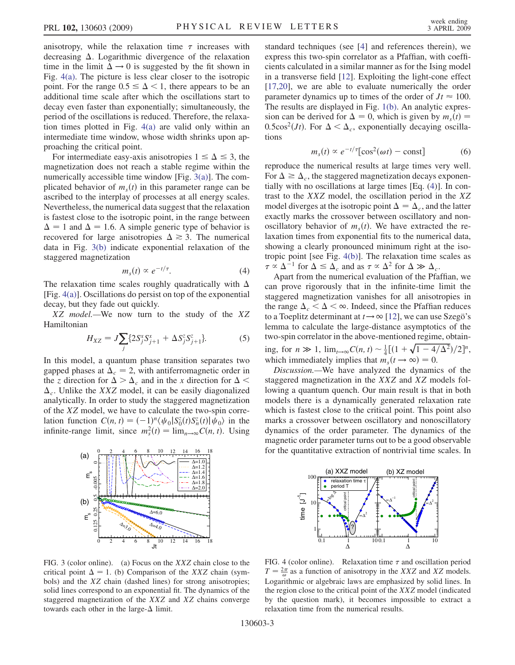anisotropy, while the relaxation time  $\tau$  increases with decreasing  $\Delta$ . Logarithmic divergence of the relaxation time in the limit  $\Delta \rightarrow 0$  is suggested by the fit shown in Fig. [4\(a\)](#page-2-0). The picture is less clear closer to the isotropic point. For the range  $0.5 \leq \Delta < 1$ , there appears to be an additional time scale after which the oscillations start to decay even faster than exponentially; simultaneously, the period of the oscillations is reduced. Therefore, the relaxation times plotted in Fig. [4\(a\)](#page-2-0) are valid only within an intermediate time window, whose width shrinks upon approaching the critical point.

For intermediate easy-axis anisotropies  $1 \leq \Delta \leq 3$ , the magnetization does not reach a stable regime within the numerically accessible time window [Fig.  $3(a)$ ]. The complicated behavior of  $m<sub>s</sub>(t)$  in this parameter range can be ascribed to the interplay of processes at all energy scales. Nevertheless, the numerical data suggest that the relaxation is fastest close to the isotropic point, in the range between  $\Delta = 1$  and  $\Delta = 1.6$ . A simple generic type of behavior is recovered for large anisotropies  $\Delta \geq 3$ . The numerical data in Fig. [3\(b\)](#page-2-0) indicate exponential relaxation of the staggered magnetization

$$
m_s(t) \propto e^{-t/\tau}.\tag{4}
$$

The relaxation time scales roughly quadratically with  $\Delta$ [Fig. [4\(a\)](#page-2-0)]. Oscillations do persist on top of the exponential decay, but they fade out quickly.

XZ model.—We now turn to the study of the XZ Hamiltonian

$$
H_{XZ} = J \sum_{j} \{ 2S_j^x S_{j+1}^x + \Delta S_j^z S_{j+1}^z \}.
$$
 (5)

In this model, a quantum phase transition separates two gapped phases at  $\Delta_c = 2$ , with antiferromagnetic order in the z direction for  $\Delta > \Delta_c$  and in the x direction for  $\Delta$  <  $\Delta_c$ . Unlike the XXZ model, it can be easily diagonalized analytically. In order to study the staggered magnetization of the XZ model, we have to calculate the two-spin correlation function  $C(n, t) = (-1)^n \langle \psi_0 | S_0^z(t) S_n^z(t) | \psi_0 \rangle$  in the infinite-range limit, since  $m_s^2(t) = \lim_{n \to \infty} C(n, t)$ . Using



<span id="page-2-0"></span>FIG. 3 (color online). (a) Focus on the XXZ chain close to the critical point  $\Delta = 1$ . (b) Comparison of the XXZ chain (symbols) and the XZ chain (dashed lines) for strong anisotropies; solid lines correspond to an exponential fit. The dynamics of the staggered magnetization of the XXZ and XZ chains converge towards each other in the large- $\Delta$  limit.

standard techniques (see [\[4\]](#page-3-0) and references therein), we express this two-spin correlator as a Pfaffian, with coefficients calculated in a similar manner as for the Ising model in a transverse field [\[12\]](#page-3-0). Exploiting the light-cone effect [\[17,20\]](#page-3-0), we are able to evaluate numerically the order parameter dynamics up to times of the order of  $Jt \approx 100$ . The results are displayed in Fig. [1\(b\).](#page-1-0) An analytic expression can be derived for  $\Delta = 0$ , which is given by  $m_s(t) =$ 0.5cos<sup>2</sup>(*Jt*). For  $\Delta < \Delta_c$ , exponentially decaying oscillations

$$
m_s(t) \propto e^{-t/\tau} [\cos^2(\omega t) - \text{const}] \tag{6}
$$

reproduce the numerical results at large times very well. For  $\Delta \geq \Delta_c$ , the staggered magnetization decays exponentially with no oscillations at large times [Eq. ([4\)](#page-2-0)]. In contrast to the XXZ model, the oscillation period in the XZ model diverges at the isotropic point  $\Delta = \Delta_c$ , and the latter exactly marks the crossover between oscillatory and nonoscillatory behavior of  $m_s(t)$ . We have extracted the relaxation times from exponential fits to the numerical data, showing a clearly pronounced minimum right at the isotropic point [see Fig. [4\(b\)\]](#page-2-0). The relaxation time scales as  $\tau \propto \Delta^{-1}$  for  $\Delta \leq \Delta_c$  and as  $\tau \propto \Delta^2$  for  $\Delta \gg \Delta_c$ .

Apart from the numerical evaluation of the Pfaffian, we can prove rigorously that in the infinite-time limit the staggered magnetization vanishes for all anisotropies in the range  $\Delta_c < \Delta < \infty$ . Indeed, since the Pfaffian reduces to a Toeplitz determinant at  $t \rightarrow \infty$  [[12](#page-3-0)], we can use Szegö's lemma to calculate the large-distance asymptotics of the two-spin correlator in the above-mentioned regime, obtaining, for  $n \gg 1$ ,  $\lim_{t \to \infty} C(n, t) \sim \frac{1}{4} [(1 + \sqrt{1 - 4/\Delta^2})/2]^n$ , which immediately implies that  $m_s(t \to \infty) = 0$ .

Discussion.—We have analyzed the dynamics of the staggered magnetization in the XXZ and XZ models following a quantum quench. Our main result is that in both models there is a dynamically generated relaxation rate which is fastest close to the critical point. This point also marks a crossover between oscillatory and nonoscillatory dynamics of the order parameter. The dynamics of the magnetic order parameter turns out to be a good observable for the quantitative extraction of nontrivial time scales. In



FIG. 4 (color online). Relaxation time  $\tau$  and oscillation period  $T = \frac{2\pi}{\omega}$  as a function of anisotropy in the XXZ and XZ models. Logarithmic or algebraic laws are emphasized by solid lines. In the region close to the critical point of the XXZ model (indicated by the question mark), it becomes impossible to extract a relaxation time from the numerical results.